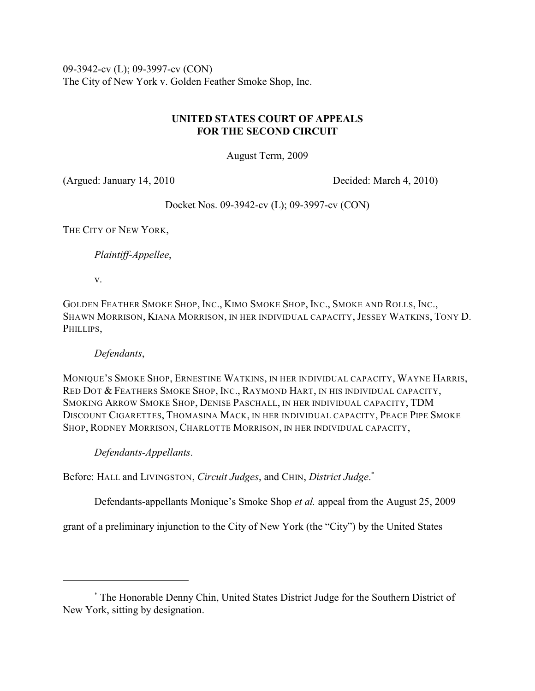09-3942-cv (L); 09-3997-cv (CON) The City of New York v. Golden Feather Smoke Shop, Inc.

# **UNITED STATES COURT OF APPEALS FOR THE SECOND CIRCUIT**

August Term, 2009

(Argued: January 14, 2010 Decided: March 4, 2010)

Docket Nos. 09-3942-cv (L); 09-3997-cv (CON)

THE CITY OF NEW YORK,

*Plaintiff-Appellee*,

v.

GOLDEN FEATHER SMOKE SHOP, INC., KIMO SMOKE SHOP, INC., SMOKE AND ROLLS, INC., SHAWN MORRISON, KIANA MORRISON, IN HER INDIVIDUAL CAPACITY, JESSEY WATKINS, TONY D. PHILLIPS,

# *Defendants*,

MONIQUE'S SMOKE SHOP, ERNESTINE WATKINS, IN HER INDIVIDUAL CAPACITY, WAYNE HARRIS, RED DOT & FEATHERS SMOKE SHOP, INC., RAYMOND HART, IN HIS INDIVIDUAL CAPACITY, SMOKING ARROW SMOKE SHOP, DENISE PASCHALL, IN HER INDIVIDUAL CAPACITY, TDM DISCOUNT CIGARETTES, THOMASINA MACK, IN HER INDIVIDUAL CAPACITY, PEACE PIPE SMOKE SHOP, RODNEY MORRISON, CHARLOTTE MORRISON, IN HER INDIVIDUAL CAPACITY,

*Defendants-Appellants*.

Before: HALL and LIVINGSTON, *Circuit Judges*, and CHIN, *District Judge*. \*

Defendants-appellants Monique's Smoke Shop *et al.* appeal from the August 25, 2009

grant of a preliminary injunction to the City of New York (the "City") by the United States

The Honorable Denny Chin, United States District Judge for the Southern District of \* New York, sitting by designation.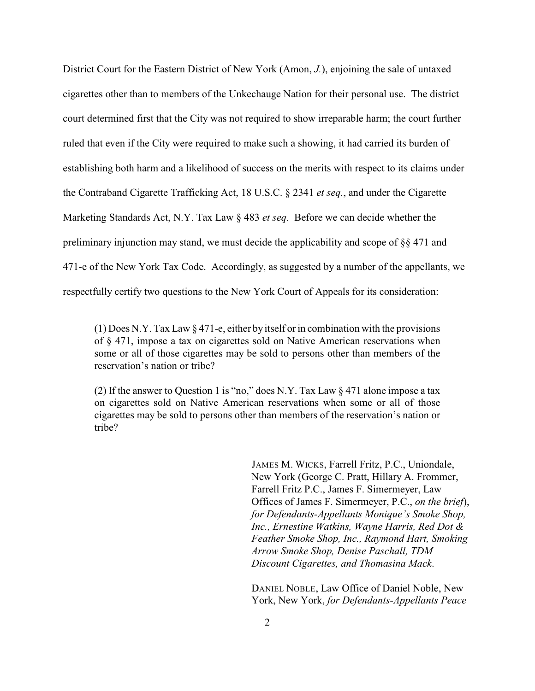District Court for the Eastern District of New York (Amon, *J.*), enjoining the sale of untaxed cigarettes other than to members of the Unkechauge Nation for their personal use. The district court determined first that the City was not required to show irreparable harm; the court further ruled that even if the City were required to make such a showing, it had carried its burden of establishing both harm and a likelihood of success on the merits with respect to its claims under the Contraband Cigarette Trafficking Act, 18 U.S.C. § 2341 *et seq.*, and under the Cigarette Marketing Standards Act, N.Y. Tax Law § 483 *et seq.* Before we can decide whether the preliminary injunction may stand, we must decide the applicability and scope of §§ 471 and 471-e of the New York Tax Code. Accordingly, as suggested by a number of the appellants, we respectfully certify two questions to the New York Court of Appeals for its consideration:

(1) Does N.Y. Tax Law § 471-e, either by itself or in combination with the provisions of § 471, impose a tax on cigarettes sold on Native American reservations when some or all of those cigarettes may be sold to persons other than members of the reservation's nation or tribe?

(2) If the answer to Question 1 is "no," does N.Y. Tax Law § 471 alone impose a tax on cigarettes sold on Native American reservations when some or all of those cigarettes may be sold to persons other than members of the reservation's nation or tribe?

> JAMES M. WICKS, Farrell Fritz, P.C., Uniondale, New York (George C. Pratt, Hillary A. Frommer, Farrell Fritz P.C., James F. Simermeyer, Law Offices of James F. Simermeyer, P.C., *on the brief*), *for Defendants-Appellants Monique's Smoke Shop, Inc., Ernestine Watkins, Wayne Harris, Red Dot & Feather Smoke Shop, Inc., Raymond Hart, Smoking Arrow Smoke Shop, Denise Paschall, TDM Discount Cigarettes, and Thomasina Mack*.

DANIEL NOBLE, Law Office of Daniel Noble, New York, New York, *for Defendants-Appellants Peace*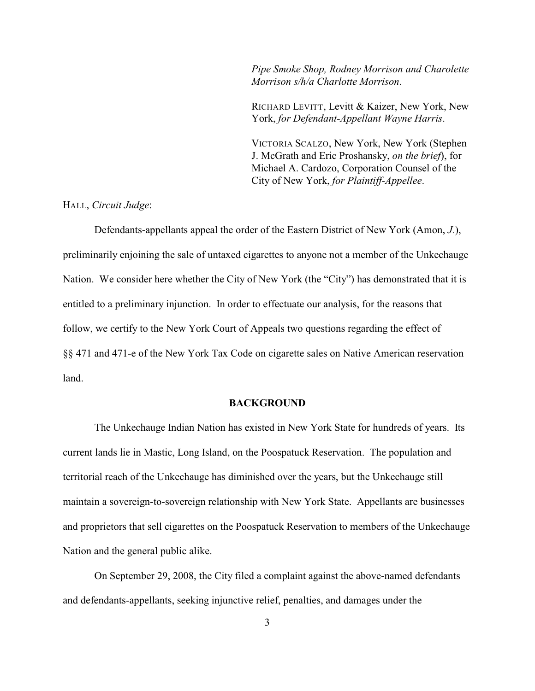*Pipe Smoke Shop, Rodney Morrison and Charolette Morrison s/h/a Charlotte Morrison*.

RICHARD LEVITT, Levitt & Kaizer, New York, New York, *for Defendant-Appellant Wayne Harris*.

VICTORIA SCALZO, New York, New York (Stephen J. McGrath and Eric Proshansky, *on the brief*), for Michael A. Cardozo, Corporation Counsel of the City of New York, *for Plaintiff-Appellee*.

HALL, *Circuit Judge*:

Defendants-appellants appeal the order of the Eastern District of New York (Amon, *J.*), preliminarily enjoining the sale of untaxed cigarettes to anyone not a member of the Unkechauge Nation. We consider here whether the City of New York (the "City") has demonstrated that it is entitled to a preliminary injunction. In order to effectuate our analysis, for the reasons that follow, we certify to the New York Court of Appeals two questions regarding the effect of §§ 471 and 471-e of the New York Tax Code on cigarette sales on Native American reservation land.

## **BACKGROUND**

The Unkechauge Indian Nation has existed in New York State for hundreds of years. Its current lands lie in Mastic, Long Island, on the Poospatuck Reservation. The population and territorial reach of the Unkechauge has diminished over the years, but the Unkechauge still maintain a sovereign-to-sovereign relationship with New York State. Appellants are businesses and proprietors that sell cigarettes on the Poospatuck Reservation to members of the Unkechauge Nation and the general public alike.

On September 29, 2008, the City filed a complaint against the above-named defendants and defendants-appellants, seeking injunctive relief, penalties, and damages under the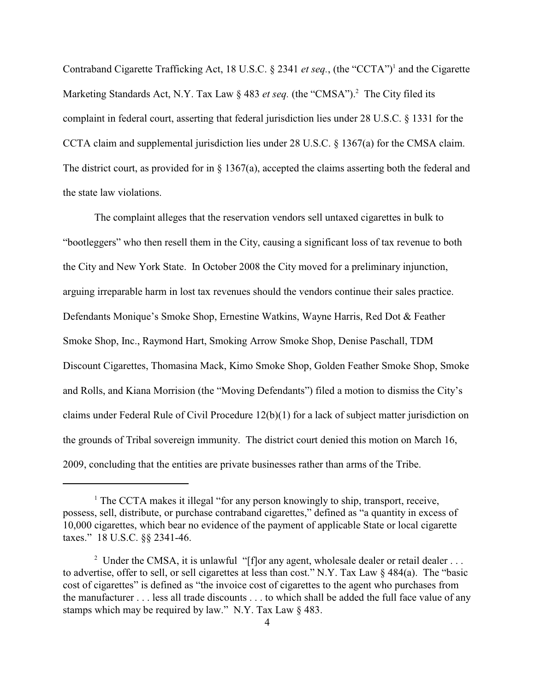Contraband Cigarette Trafficking Act, 18 U.S.C. § 2341 *et seq.*, (the "CCTA")<sup>1</sup> and the Cigarette Marketing Standards Act, N.Y. Tax Law § 483 *et seq*. (the "CMSA").<sup>2</sup> The City filed its complaint in federal court, asserting that federal jurisdiction lies under 28 U.S.C. § 1331 for the CCTA claim and supplemental jurisdiction lies under 28 U.S.C. § 1367(a) for the CMSA claim. The district court, as provided for in § 1367(a), accepted the claims asserting both the federal and the state law violations.

The complaint alleges that the reservation vendors sell untaxed cigarettes in bulk to "bootleggers" who then resell them in the City, causing a significant loss of tax revenue to both the City and New York State. In October 2008 the City moved for a preliminary injunction, arguing irreparable harm in lost tax revenues should the vendors continue their sales practice. Defendants Monique's Smoke Shop, Ernestine Watkins, Wayne Harris, Red Dot & Feather Smoke Shop, Inc., Raymond Hart, Smoking Arrow Smoke Shop, Denise Paschall, TDM Discount Cigarettes, Thomasina Mack, Kimo Smoke Shop, Golden Feather Smoke Shop, Smoke and Rolls, and Kiana Morrision (the "Moving Defendants") filed a motion to dismiss the City's claims under Federal Rule of Civil Procedure 12(b)(1) for a lack of subject matter jurisdiction on the grounds of Tribal sovereign immunity. The district court denied this motion on March 16, 2009, concluding that the entities are private businesses rather than arms of the Tribe.

 $\frac{1}{1}$  The CCTA makes it illegal "for any person knowingly to ship, transport, receive, possess, sell, distribute, or purchase contraband cigarettes," defined as "a quantity in excess of 10,000 cigarettes, which bear no evidence of the payment of applicable State or local cigarette taxes." 18 U.S.C. §§ 2341-46.

<sup>&</sup>lt;sup>2</sup> Under the CMSA, it is unlawful "[f]or any agent, wholesale dealer or retail dealer . . . to advertise, offer to sell, or sell cigarettes at less than cost." N.Y. Tax Law § 484(a). The "basic cost of cigarettes" is defined as "the invoice cost of cigarettes to the agent who purchases from the manufacturer . . . less all trade discounts . . . to which shall be added the full face value of any stamps which may be required by law." N.Y. Tax Law § 483.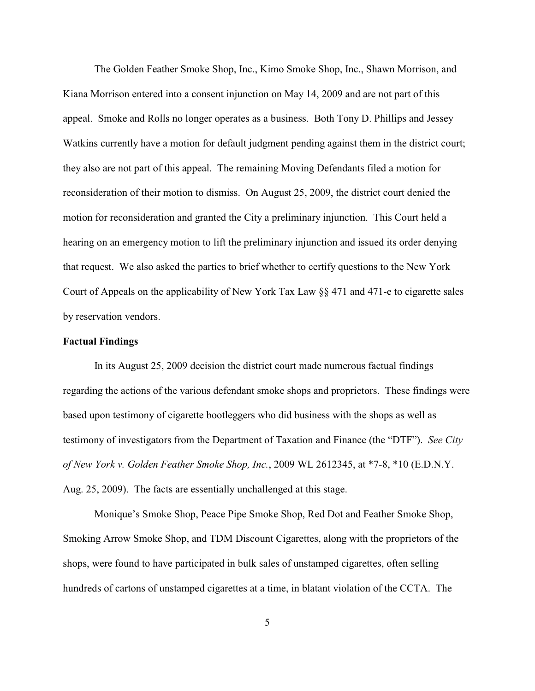The Golden Feather Smoke Shop, Inc., Kimo Smoke Shop, Inc., Shawn Morrison, and Kiana Morrison entered into a consent injunction on May 14, 2009 and are not part of this appeal. Smoke and Rolls no longer operates as a business. Both Tony D. Phillips and Jessey Watkins currently have a motion for default judgment pending against them in the district court; they also are not part of this appeal. The remaining Moving Defendants filed a motion for reconsideration of their motion to dismiss. On August 25, 2009, the district court denied the motion for reconsideration and granted the City a preliminary injunction. This Court held a hearing on an emergency motion to lift the preliminary injunction and issued its order denying that request. We also asked the parties to brief whether to certify questions to the New York Court of Appeals on the applicability of New York Tax Law §§ 471 and 471-e to cigarette sales by reservation vendors.

#### **Factual Findings**

In its August 25, 2009 decision the district court made numerous factual findings regarding the actions of the various defendant smoke shops and proprietors. These findings were based upon testimony of cigarette bootleggers who did business with the shops as well as testimony of investigators from the Department of Taxation and Finance (the "DTF"). *See City of New York v. Golden Feather Smoke Shop, Inc.*, 2009 WL 2612345, at \*7-8, \*10 (E.D.N.Y. Aug. 25, 2009). The facts are essentially unchallenged at this stage.

Monique's Smoke Shop, Peace Pipe Smoke Shop, Red Dot and Feather Smoke Shop, Smoking Arrow Smoke Shop, and TDM Discount Cigarettes, along with the proprietors of the shops, were found to have participated in bulk sales of unstamped cigarettes, often selling hundreds of cartons of unstamped cigarettes at a time, in blatant violation of the CCTA. The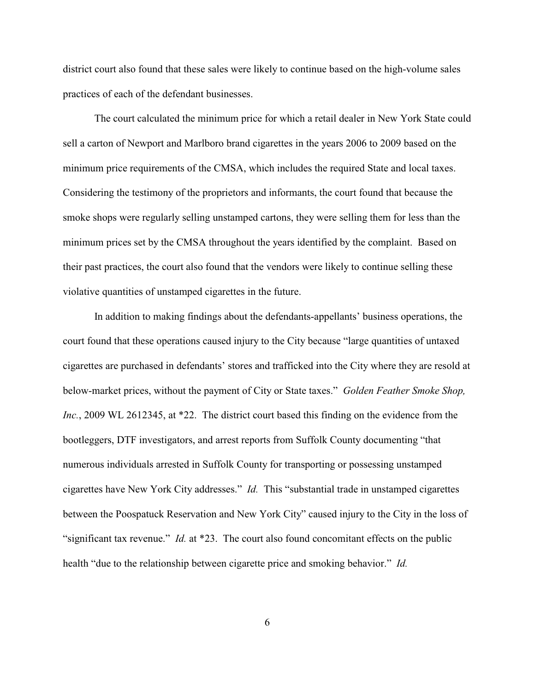district court also found that these sales were likely to continue based on the high-volume sales practices of each of the defendant businesses.

The court calculated the minimum price for which a retail dealer in New York State could sell a carton of Newport and Marlboro brand cigarettes in the years 2006 to 2009 based on the minimum price requirements of the CMSA, which includes the required State and local taxes. Considering the testimony of the proprietors and informants, the court found that because the smoke shops were regularly selling unstamped cartons, they were selling them for less than the minimum prices set by the CMSA throughout the years identified by the complaint. Based on their past practices, the court also found that the vendors were likely to continue selling these violative quantities of unstamped cigarettes in the future.

In addition to making findings about the defendants-appellants' business operations, the court found that these operations caused injury to the City because "large quantities of untaxed cigarettes are purchased in defendants' stores and trafficked into the City where they are resold at below-market prices, without the payment of City or State taxes." *Golden Feather Smoke Shop, Inc.*, 2009 WL 2612345, at \*22. The district court based this finding on the evidence from the bootleggers, DTF investigators, and arrest reports from Suffolk County documenting "that numerous individuals arrested in Suffolk County for transporting or possessing unstamped cigarettes have New York City addresses." *Id.* This "substantial trade in unstamped cigarettes between the Poospatuck Reservation and New York City" caused injury to the City in the loss of "significant tax revenue." *Id.* at \*23. The court also found concomitant effects on the public health "due to the relationship between cigarette price and smoking behavior." *Id.*

6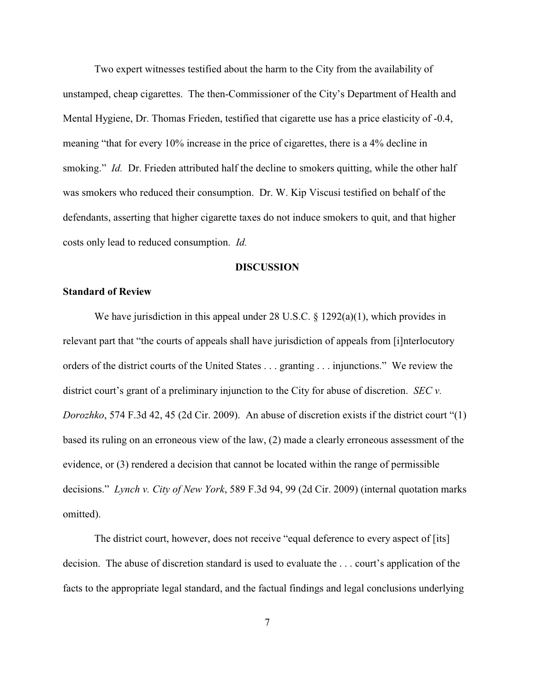Two expert witnesses testified about the harm to the City from the availability of unstamped, cheap cigarettes. The then-Commissioner of the City's Department of Health and Mental Hygiene, Dr. Thomas Frieden, testified that cigarette use has a price elasticity of -0.4, meaning "that for every 10% increase in the price of cigarettes, there is a 4% decline in smoking." *Id.* Dr. Frieden attributed half the decline to smokers quitting, while the other half was smokers who reduced their consumption. Dr. W. Kip Viscusi testified on behalf of the defendants, asserting that higher cigarette taxes do not induce smokers to quit, and that higher costs only lead to reduced consumption. *Id.*

#### **DISCUSSION**

### **Standard of Review**

We have jurisdiction in this appeal under 28 U.S.C. § 1292(a)(1), which provides in relevant part that "the courts of appeals shall have jurisdiction of appeals from [i]nterlocutory orders of the district courts of the United States . . . granting . . . injunctions." We review the district court's grant of a preliminary injunction to the City for abuse of discretion. *SEC v. Dorozhko*, 574 F.3d 42, 45 (2d Cir. 2009). An abuse of discretion exists if the district court "(1) based its ruling on an erroneous view of the law, (2) made a clearly erroneous assessment of the evidence, or (3) rendered a decision that cannot be located within the range of permissible decisions." *Lynch v. City of New York*, 589 F.3d 94, 99 (2d Cir. 2009) (internal quotation marks omitted).

The district court, however, does not receive "equal deference to every aspect of [its] decision. The abuse of discretion standard is used to evaluate the . . . court's application of the facts to the appropriate legal standard, and the factual findings and legal conclusions underlying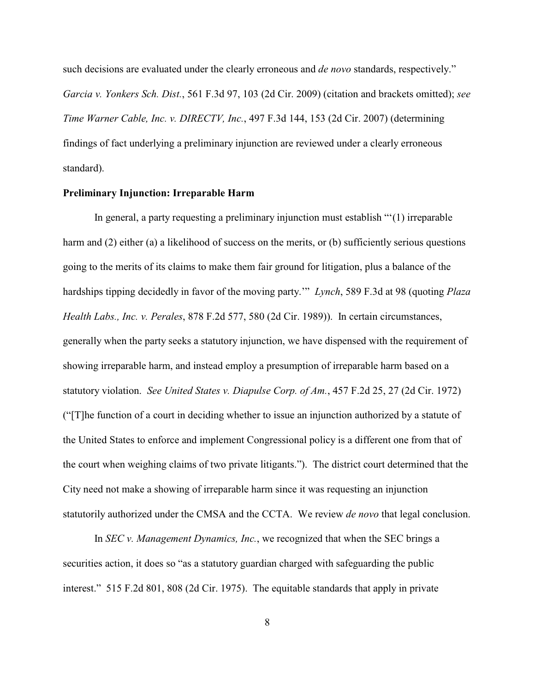such decisions are evaluated under the clearly erroneous and *de novo* standards, respectively." *Garcia v. Yonkers Sch. Dist.*, 561 F.3d 97, 103 (2d Cir. 2009) (citation and brackets omitted); *see Time Warner Cable, Inc. v. DIRECTV, Inc.*, 497 F.3d 144, 153 (2d Cir. 2007) (determining findings of fact underlying a preliminary injunction are reviewed under a clearly erroneous standard).

#### **Preliminary Injunction: Irreparable Harm**

In general, a party requesting a preliminary injunction must establish "'(1) irreparable harm and (2) either (a) a likelihood of success on the merits, or (b) sufficiently serious questions going to the merits of its claims to make them fair ground for litigation, plus a balance of the hardships tipping decidedly in favor of the moving party.'" *Lynch*, 589 F.3d at 98 (quoting *Plaza Health Labs., Inc. v. Perales*, 878 F.2d 577, 580 (2d Cir. 1989)). In certain circumstances, generally when the party seeks a statutory injunction, we have dispensed with the requirement of showing irreparable harm, and instead employ a presumption of irreparable harm based on a statutory violation. *See United States v. Diapulse Corp. of Am.*, 457 F.2d 25, 27 (2d Cir. 1972) ("[T]he function of a court in deciding whether to issue an injunction authorized by a statute of the United States to enforce and implement Congressional policy is a different one from that of the court when weighing claims of two private litigants."). The district court determined that the City need not make a showing of irreparable harm since it was requesting an injunction statutorily authorized under the CMSA and the CCTA. We review *de novo* that legal conclusion.

In *SEC v. Management Dynamics, Inc.*, we recognized that when the SEC brings a securities action, it does so "as a statutory guardian charged with safeguarding the public interest." 515 F.2d 801, 808 (2d Cir. 1975). The equitable standards that apply in private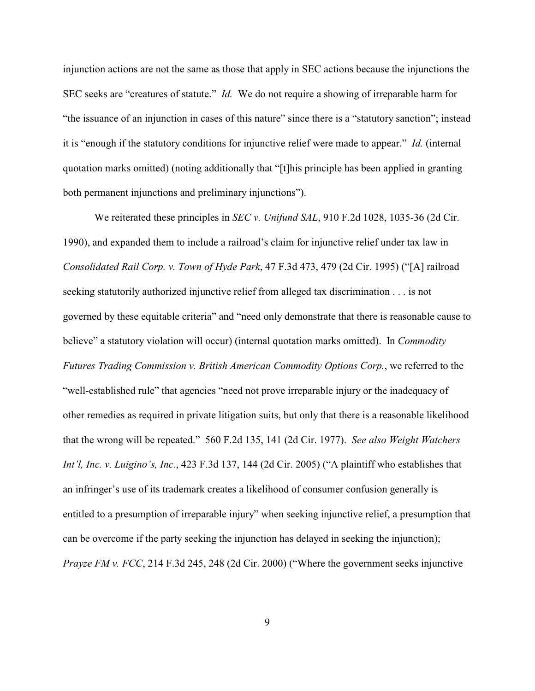injunction actions are not the same as those that apply in SEC actions because the injunctions the SEC seeks are "creatures of statute." *Id.* We do not require a showing of irreparable harm for "the issuance of an injunction in cases of this nature" since there is a "statutory sanction"; instead it is "enough if the statutory conditions for injunctive relief were made to appear." *Id.* (internal quotation marks omitted) (noting additionally that "[t]his principle has been applied in granting both permanent injunctions and preliminary injunctions").

We reiterated these principles in *SEC v. Unifund SAL*, 910 F.2d 1028, 1035-36 (2d Cir. 1990), and expanded them to include a railroad's claim for injunctive relief under tax law in *Consolidated Rail Corp. v. Town of Hyde Park*, 47 F.3d 473, 479 (2d Cir. 1995) ("[A] railroad seeking statutorily authorized injunctive relief from alleged tax discrimination . . . is not governed by these equitable criteria" and "need only demonstrate that there is reasonable cause to believe" a statutory violation will occur) (internal quotation marks omitted). In *Commodity Futures Trading Commission v. British American Commodity Options Corp.*, we referred to the "well-established rule" that agencies "need not prove irreparable injury or the inadequacy of other remedies as required in private litigation suits, but only that there is a reasonable likelihood that the wrong will be repeated." 560 F.2d 135, 141 (2d Cir. 1977). *See also Weight Watchers Int'l, Inc. v. Luigino's, Inc.*, 423 F.3d 137, 144 (2d Cir. 2005) ("A plaintiff who establishes that an infringer's use of its trademark creates a likelihood of consumer confusion generally is entitled to a presumption of irreparable injury" when seeking injunctive relief, a presumption that can be overcome if the party seeking the injunction has delayed in seeking the injunction); *Prayze FM v. FCC*, 214 F.3d 245, 248 (2d Cir. 2000) ("Where the government seeks injunctive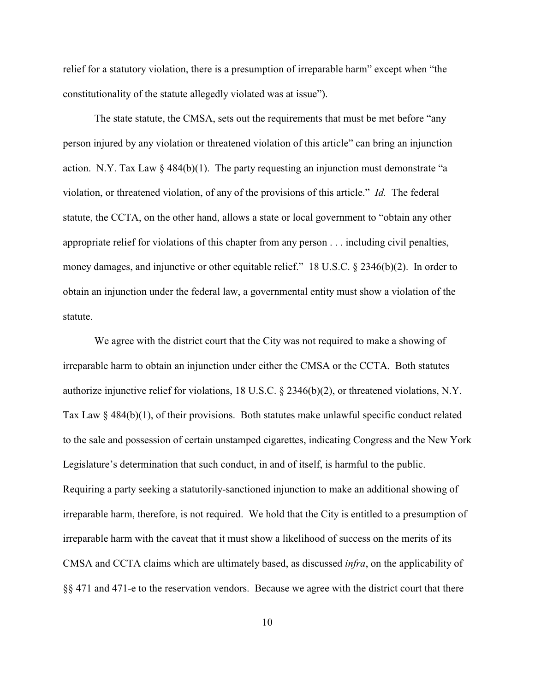relief for a statutory violation, there is a presumption of irreparable harm" except when "the constitutionality of the statute allegedly violated was at issue").

The state statute, the CMSA, sets out the requirements that must be met before "any person injured by any violation or threatened violation of this article" can bring an injunction action. N.Y. Tax Law  $\S$  484(b)(1). The party requesting an injunction must demonstrate "a violation, or threatened violation, of any of the provisions of this article." *Id.* The federal statute, the CCTA, on the other hand, allows a state or local government to "obtain any other appropriate relief for violations of this chapter from any person . . . including civil penalties, money damages, and injunctive or other equitable relief." 18 U.S.C. § 2346(b)(2). In order to obtain an injunction under the federal law, a governmental entity must show a violation of the statute.

We agree with the district court that the City was not required to make a showing of irreparable harm to obtain an injunction under either the CMSA or the CCTA. Both statutes authorize injunctive relief for violations, 18 U.S.C. § 2346(b)(2), or threatened violations, N.Y. Tax Law  $\S 484(b)(1)$ , of their provisions. Both statutes make unlawful specific conduct related to the sale and possession of certain unstamped cigarettes, indicating Congress and the New York Legislature's determination that such conduct, in and of itself, is harmful to the public. Requiring a party seeking a statutorily-sanctioned injunction to make an additional showing of irreparable harm, therefore, is not required. We hold that the City is entitled to a presumption of irreparable harm with the caveat that it must show a likelihood of success on the merits of its CMSA and CCTA claims which are ultimately based, as discussed *infra*, on the applicability of §§ 471 and 471-e to the reservation vendors. Because we agree with the district court that there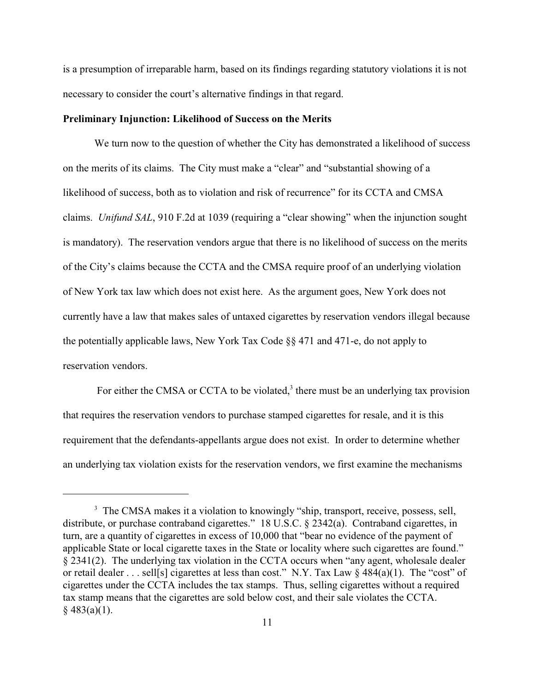is a presumption of irreparable harm, based on its findings regarding statutory violations it is not necessary to consider the court's alternative findings in that regard.

#### **Preliminary Injunction: Likelihood of Success on the Merits**

We turn now to the question of whether the City has demonstrated a likelihood of success on the merits of its claims. The City must make a "clear" and "substantial showing of a likelihood of success, both as to violation and risk of recurrence" for its CCTA and CMSA claims. *Unifund SAL*, 910 F.2d at 1039 (requiring a "clear showing" when the injunction sought is mandatory). The reservation vendors argue that there is no likelihood of success on the merits of the City's claims because the CCTA and the CMSA require proof of an underlying violation of New York tax law which does not exist here. As the argument goes, New York does not currently have a law that makes sales of untaxed cigarettes by reservation vendors illegal because the potentially applicable laws, New York Tax Code §§ 471 and 471-e, do not apply to reservation vendors.

For either the CMSA or CCTA to be violated,<sup>3</sup> there must be an underlying tax provision that requires the reservation vendors to purchase stamped cigarettes for resale, and it is this requirement that the defendants-appellants argue does not exist. In order to determine whether an underlying tax violation exists for the reservation vendors, we first examine the mechanisms

<sup>&</sup>lt;sup>3</sup> The CMSA makes it a violation to knowingly "ship, transport, receive, possess, sell, distribute, or purchase contraband cigarettes." 18 U.S.C. § 2342(a). Contraband cigarettes, in turn, are a quantity of cigarettes in excess of 10,000 that "bear no evidence of the payment of applicable State or local cigarette taxes in the State or locality where such cigarettes are found." § 2341(2). The underlying tax violation in the CCTA occurs when "any agent, wholesale dealer or retail dealer . . . sell[s] cigarettes at less than cost." N.Y. Tax Law § 484(a)(1). The "cost" of cigarettes under the CCTA includes the tax stamps. Thus, selling cigarettes without a required tax stamp means that the cigarettes are sold below cost, and their sale violates the CCTA.  $§$  483(a)(1).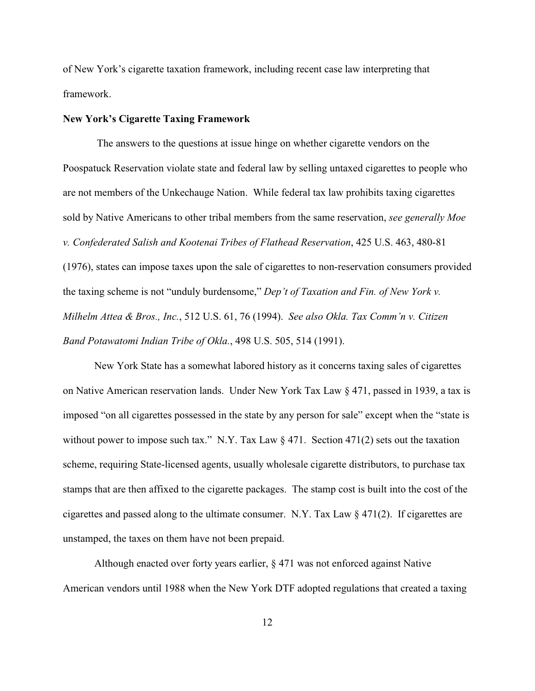of New York's cigarette taxation framework, including recent case law interpreting that framework.

#### **New York's Cigarette Taxing Framework**

 The answers to the questions at issue hinge on whether cigarette vendors on the Poospatuck Reservation violate state and federal law by selling untaxed cigarettes to people who are not members of the Unkechauge Nation. While federal tax law prohibits taxing cigarettes sold by Native Americans to other tribal members from the same reservation, *see generally Moe v. Confederated Salish and Kootenai Tribes of Flathead Reservation*, 425 U.S. 463, 480-81 (1976), states can impose taxes upon the sale of cigarettes to non-reservation consumers provided the taxing scheme is not "unduly burdensome," *Dep't of Taxation and Fin. of New York v. Milhelm Attea & Bros., Inc.*, 512 U.S. 61, 76 (1994). *See also Okla. Tax Comm'n v. Citizen Band Potawatomi Indian Tribe of Okla.*, 498 U.S. 505, 514 (1991).

New York State has a somewhat labored history as it concerns taxing sales of cigarettes on Native American reservation lands. Under New York Tax Law § 471, passed in 1939, a tax is imposed "on all cigarettes possessed in the state by any person for sale" except when the "state is without power to impose such tax." N.Y. Tax Law § 471. Section 471(2) sets out the taxation scheme, requiring State-licensed agents, usually wholesale cigarette distributors, to purchase tax stamps that are then affixed to the cigarette packages. The stamp cost is built into the cost of the cigarettes and passed along to the ultimate consumer. N.Y. Tax Law  $\S 471(2)$ . If cigarettes are unstamped, the taxes on them have not been prepaid.

Although enacted over forty years earlier, § 471 was not enforced against Native American vendors until 1988 when the New York DTF adopted regulations that created a taxing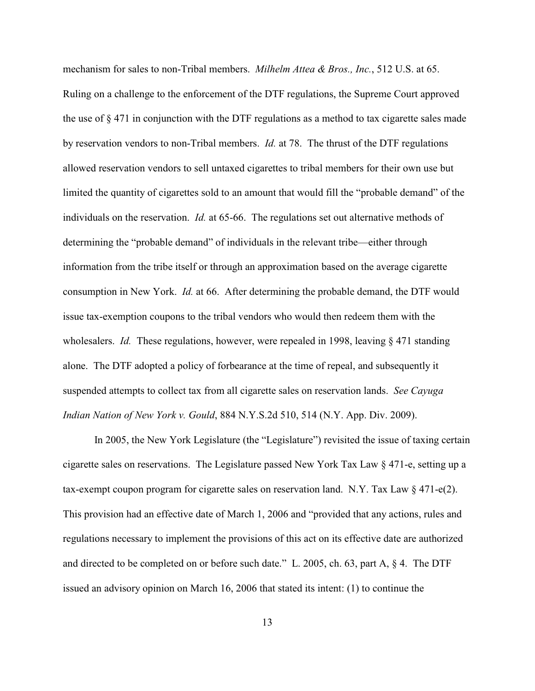mechanism for sales to non-Tribal members. *Milhelm Attea & Bros., Inc.*, 512 U.S. at 65. Ruling on a challenge to the enforcement of the DTF regulations, the Supreme Court approved the use of  $\S 471$  in conjunction with the DTF regulations as a method to tax cigarette sales made by reservation vendors to non-Tribal members. *Id.* at 78. The thrust of the DTF regulations allowed reservation vendors to sell untaxed cigarettes to tribal members for their own use but limited the quantity of cigarettes sold to an amount that would fill the "probable demand" of the individuals on the reservation. *Id.* at 65-66. The regulations set out alternative methods of determining the "probable demand" of individuals in the relevant tribe—either through information from the tribe itself or through an approximation based on the average cigarette consumption in New York. *Id.* at 66. After determining the probable demand, the DTF would issue tax-exemption coupons to the tribal vendors who would then redeem them with the wholesalers. *Id.* These regulations, however, were repealed in 1998, leaving § 471 standing alone. The DTF adopted a policy of forbearance at the time of repeal, and subsequently it suspended attempts to collect tax from all cigarette sales on reservation lands. *See Cayuga Indian Nation of New York v. Gould*, 884 N.Y.S.2d 510, 514 (N.Y. App. Div. 2009).

In 2005, the New York Legislature (the "Legislature") revisited the issue of taxing certain cigarette sales on reservations. The Legislature passed New York Tax Law § 471-e, setting up a tax-exempt coupon program for cigarette sales on reservation land. N.Y. Tax Law  $\S$  471-e(2). This provision had an effective date of March 1, 2006 and "provided that any actions, rules and regulations necessary to implement the provisions of this act on its effective date are authorized and directed to be completed on or before such date." L. 2005, ch. 63, part A, § 4. The DTF issued an advisory opinion on March 16, 2006 that stated its intent: (1) to continue the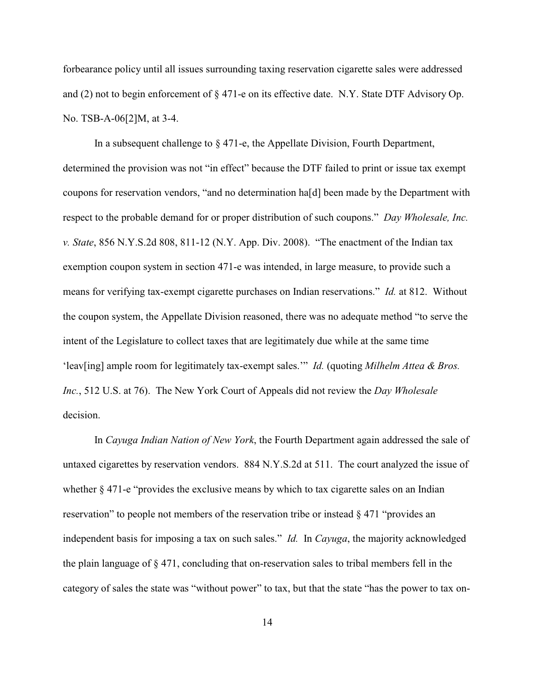forbearance policy until all issues surrounding taxing reservation cigarette sales were addressed and (2) not to begin enforcement of § 471-e on its effective date. N.Y. State DTF Advisory Op. No. TSB-A-06[2]M, at 3-4.

In a subsequent challenge to § 471-e, the Appellate Division, Fourth Department, determined the provision was not "in effect" because the DTF failed to print or issue tax exempt coupons for reservation vendors, "and no determination ha[d] been made by the Department with respect to the probable demand for or proper distribution of such coupons." *Day Wholesale, Inc. v. State*, 856 N.Y.S.2d 808, 811-12 (N.Y. App. Div. 2008). "The enactment of the Indian tax exemption coupon system in section 471-e was intended, in large measure, to provide such a means for verifying tax-exempt cigarette purchases on Indian reservations." *Id.* at 812. Without the coupon system, the Appellate Division reasoned, there was no adequate method "to serve the intent of the Legislature to collect taxes that are legitimately due while at the same time 'leav[ing] ample room for legitimately tax-exempt sales.'" *Id.* (quoting *Milhelm Attea & Bros. Inc.*, 512 U.S. at 76). The New York Court of Appeals did not review the *Day Wholesale* decision.

In *Cayuga Indian Nation of New York*, the Fourth Department again addressed the sale of untaxed cigarettes by reservation vendors. 884 N.Y.S.2d at 511. The court analyzed the issue of whether § 471-e "provides the exclusive means by which to tax cigarette sales on an Indian reservation" to people not members of the reservation tribe or instead § 471 "provides an independent basis for imposing a tax on such sales." *Id.* In *Cayuga*, the majority acknowledged the plain language of § 471, concluding that on-reservation sales to tribal members fell in the category of sales the state was "without power" to tax, but that the state "has the power to tax on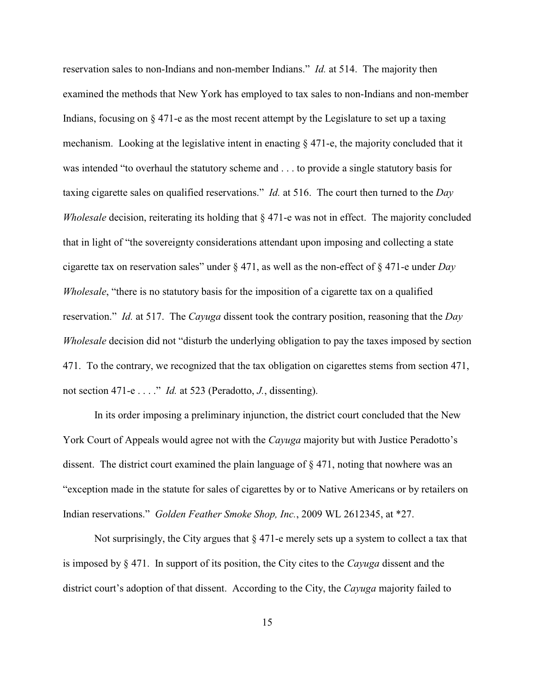reservation sales to non-Indians and non-member Indians." *Id.* at 514. The majority then examined the methods that New York has employed to tax sales to non-Indians and non-member Indians, focusing on  $\S$  471-e as the most recent attempt by the Legislature to set up a taxing mechanism. Looking at the legislative intent in enacting § 471-e, the majority concluded that it was intended "to overhaul the statutory scheme and . . . to provide a single statutory basis for taxing cigarette sales on qualified reservations." *Id.* at 516. The court then turned to the *Day Wholesale* decision, reiterating its holding that  $\S 471$ -e was not in effect. The majority concluded that in light of "the sovereignty considerations attendant upon imposing and collecting a state cigarette tax on reservation sales" under § 471, as well as the non-effect of § 471-e under *Day Wholesale*, "there is no statutory basis for the imposition of a cigarette tax on a qualified reservation." *Id.* at 517. The *Cayuga* dissent took the contrary position, reasoning that the *Day Wholesale* decision did not "disturb the underlying obligation to pay the taxes imposed by section 471. To the contrary, we recognized that the tax obligation on cigarettes stems from section 471, not section 471-e . . . ." *Id.* at 523 (Peradotto, *J.*, dissenting).

In its order imposing a preliminary injunction, the district court concluded that the New York Court of Appeals would agree not with the *Cayuga* majority but with Justice Peradotto's dissent. The district court examined the plain language of  $\S 471$ , noting that nowhere was an "exception made in the statute for sales of cigarettes by or to Native Americans or by retailers on Indian reservations." *Golden Feather Smoke Shop, Inc.*, 2009 WL 2612345, at \*27.

Not surprisingly, the City argues that  $\S 471$ -e merely sets up a system to collect a tax that is imposed by § 471. In support of its position, the City cites to the *Cayuga* dissent and the district court's adoption of that dissent. According to the City, the *Cayuga* majority failed to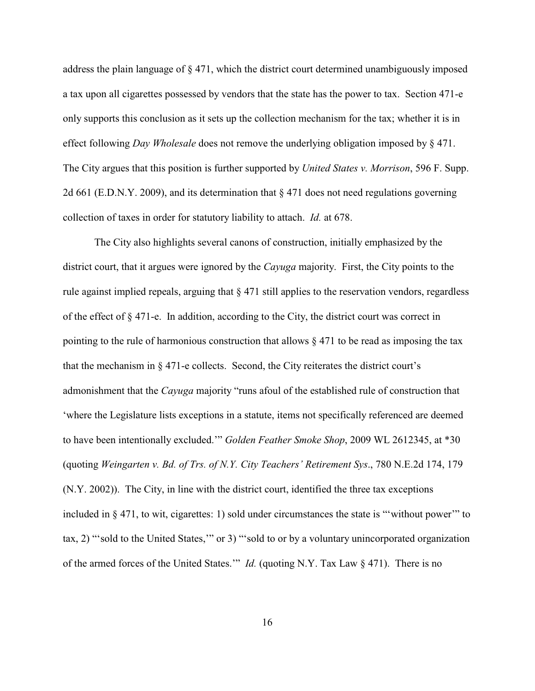address the plain language of § 471, which the district court determined unambiguously imposed a tax upon all cigarettes possessed by vendors that the state has the power to tax. Section 471-e only supports this conclusion as it sets up the collection mechanism for the tax; whether it is in effect following *Day Wholesale* does not remove the underlying obligation imposed by § 471. The City argues that this position is further supported by *United States v. Morrison*, 596 F. Supp. 2d 661 (E.D.N.Y. 2009), and its determination that  $\S 471$  does not need regulations governing collection of taxes in order for statutory liability to attach. *Id.* at 678.

The City also highlights several canons of construction, initially emphasized by the district court, that it argues were ignored by the *Cayuga* majority. First, the City points to the rule against implied repeals, arguing that § 471 still applies to the reservation vendors, regardless of the effect of § 471-e. In addition, according to the City, the district court was correct in pointing to the rule of harmonious construction that allows § 471 to be read as imposing the tax that the mechanism in § 471-e collects. Second, the City reiterates the district court's admonishment that the *Cayuga* majority "runs afoul of the established rule of construction that 'where the Legislature lists exceptions in a statute, items not specifically referenced are deemed to have been intentionally excluded.'" *Golden Feather Smoke Shop*, 2009 WL 2612345, at \*30 (quoting *Weingarten v. Bd. of Trs. of N.Y. City Teachers' Retirement Sys*., 780 N.E.2d 174, 179 (N.Y. 2002)). The City, in line with the district court, identified the three tax exceptions included in § 471, to wit, cigarettes: 1) sold under circumstances the state is "'without power'" to tax, 2) "'sold to the United States,'" or 3) "'sold to or by a voluntary unincorporated organization of the armed forces of the United States.'" *Id.* (quoting N.Y. Tax Law § 471). There is no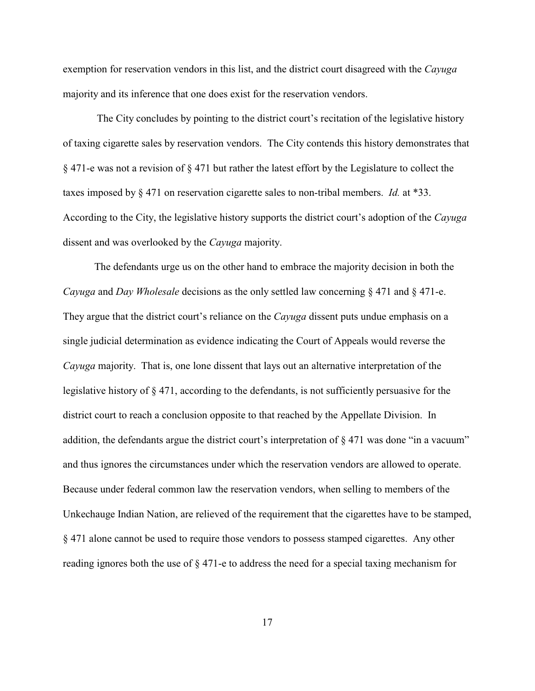exemption for reservation vendors in this list, and the district court disagreed with the *Cayuga* majority and its inference that one does exist for the reservation vendors.

 The City concludes by pointing to the district court's recitation of the legislative history of taxing cigarette sales by reservation vendors. The City contends this history demonstrates that § 471-e was not a revision of § 471 but rather the latest effort by the Legislature to collect the taxes imposed by § 471 on reservation cigarette sales to non-tribal members. *Id.* at \*33. According to the City, the legislative history supports the district court's adoption of the *Cayuga* dissent and was overlooked by the *Cayuga* majority.

The defendants urge us on the other hand to embrace the majority decision in both the *Cayuga* and *Day Wholesale* decisions as the only settled law concerning § 471 and § 471-e. They argue that the district court's reliance on the *Cayuga* dissent puts undue emphasis on a single judicial determination as evidence indicating the Court of Appeals would reverse the *Cayuga* majority. That is, one lone dissent that lays out an alternative interpretation of the legislative history of § 471, according to the defendants, is not sufficiently persuasive for the district court to reach a conclusion opposite to that reached by the Appellate Division. In addition, the defendants argue the district court's interpretation of § 471 was done "in a vacuum" and thus ignores the circumstances under which the reservation vendors are allowed to operate. Because under federal common law the reservation vendors, when selling to members of the Unkechauge Indian Nation, are relieved of the requirement that the cigarettes have to be stamped, § 471 alone cannot be used to require those vendors to possess stamped cigarettes. Any other reading ignores both the use of § 471-e to address the need for a special taxing mechanism for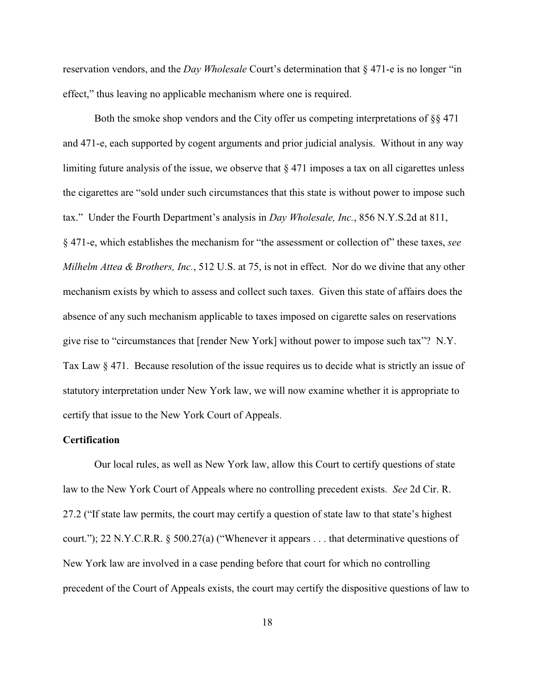reservation vendors, and the *Day Wholesale* Court's determination that § 471-e is no longer "in effect," thus leaving no applicable mechanism where one is required.

Both the smoke shop vendors and the City offer us competing interpretations of §§ 471 and 471-e, each supported by cogent arguments and prior judicial analysis. Without in any way limiting future analysis of the issue, we observe that  $\S 471$  imposes a tax on all cigarettes unless the cigarettes are "sold under such circumstances that this state is without power to impose such tax." Under the Fourth Department's analysis in *Day Wholesale, Inc.*, 856 N.Y.S.2d at 811, § 471-e, which establishes the mechanism for "the assessment or collection of" these taxes, *see Milhelm Attea & Brothers, Inc.*, 512 U.S. at 75, is not in effect. Nor do we divine that any other mechanism exists by which to assess and collect such taxes. Given this state of affairs does the absence of any such mechanism applicable to taxes imposed on cigarette sales on reservations give rise to "circumstances that [render New York] without power to impose such tax"? N.Y. Tax Law § 471. Because resolution of the issue requires us to decide what is strictly an issue of statutory interpretation under New York law, we will now examine whether it is appropriate to certify that issue to the New York Court of Appeals.

### **Certification**

Our local rules, as well as New York law, allow this Court to certify questions of state law to the New York Court of Appeals where no controlling precedent exists. *See* 2d Cir. R. 27.2 ("If state law permits, the court may certify a question of state law to that state's highest court."); 22 N.Y.C.R.R. § 500.27(a) ("Whenever it appears . . . that determinative questions of New York law are involved in a case pending before that court for which no controlling precedent of the Court of Appeals exists, the court may certify the dispositive questions of law to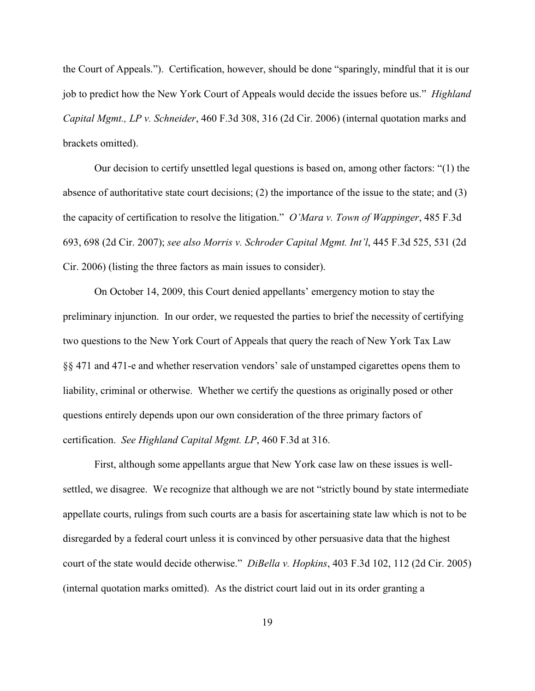the Court of Appeals."). Certification, however, should be done "sparingly, mindful that it is our job to predict how the New York Court of Appeals would decide the issues before us." *Highland Capital Mgmt., LP v. Schneider*, 460 F.3d 308, 316 (2d Cir. 2006) (internal quotation marks and brackets omitted).

Our decision to certify unsettled legal questions is based on, among other factors: "(1) the absence of authoritative state court decisions; (2) the importance of the issue to the state; and (3) the capacity of certification to resolve the litigation." *O'Mara v. Town of Wappinger*, 485 F.3d 693, 698 (2d Cir. 2007); *see also Morris v. Schroder Capital Mgmt. Int'l*, 445 F.3d 525, 531 (2d Cir. 2006) (listing the three factors as main issues to consider).

On October 14, 2009, this Court denied appellants' emergency motion to stay the preliminary injunction. In our order, we requested the parties to brief the necessity of certifying two questions to the New York Court of Appeals that query the reach of New York Tax Law §§ 471 and 471-e and whether reservation vendors' sale of unstamped cigarettes opens them to liability, criminal or otherwise. Whether we certify the questions as originally posed or other questions entirely depends upon our own consideration of the three primary factors of certification. *See Highland Capital Mgmt. LP*, 460 F.3d at 316.

First, although some appellants argue that New York case law on these issues is wellsettled, we disagree. We recognize that although we are not "strictly bound by state intermediate appellate courts, rulings from such courts are a basis for ascertaining state law which is not to be disregarded by a federal court unless it is convinced by other persuasive data that the highest court of the state would decide otherwise." *DiBella v. Hopkins*, 403 F.3d 102, 112 (2d Cir. 2005) (internal quotation marks omitted). As the district court laid out in its order granting a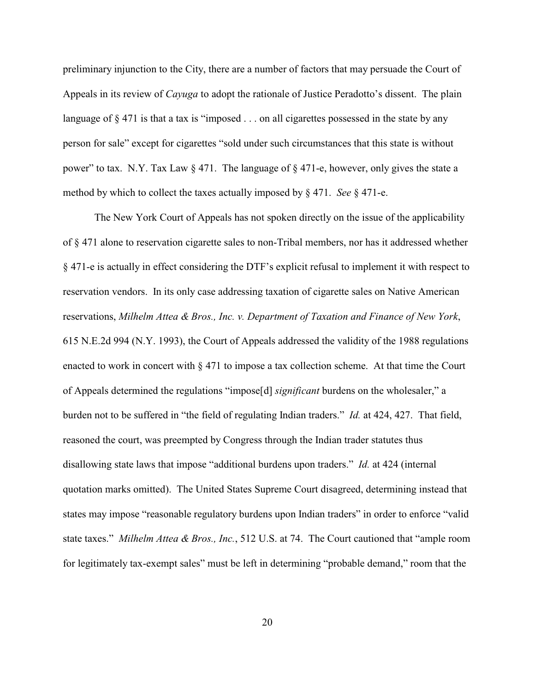preliminary injunction to the City, there are a number of factors that may persuade the Court of Appeals in its review of *Cayuga* to adopt the rationale of Justice Peradotto's dissent. The plain language of  $\S$  471 is that a tax is "imposed  $\ldots$  on all cigarettes possessed in the state by any person for sale" except for cigarettes "sold under such circumstances that this state is without power" to tax. N.Y. Tax Law  $\S 471$ . The language of  $\S 471$ -e, however, only gives the state a method by which to collect the taxes actually imposed by § 471. *See* § 471-e.

The New York Court of Appeals has not spoken directly on the issue of the applicability of § 471 alone to reservation cigarette sales to non-Tribal members, nor has it addressed whether § 471-e is actually in effect considering the DTF's explicit refusal to implement it with respect to reservation vendors. In its only case addressing taxation of cigarette sales on Native American reservations, *Milhelm Attea & Bros., Inc. v. Department of Taxation and Finance of New York*, 615 N.E.2d 994 (N.Y. 1993), the Court of Appeals addressed the validity of the 1988 regulations enacted to work in concert with  $\S 471$  to impose a tax collection scheme. At that time the Court of Appeals determined the regulations "impose[d] *significant* burdens on the wholesaler," a burden not to be suffered in "the field of regulating Indian traders." *Id.* at 424, 427. That field, reasoned the court, was preempted by Congress through the Indian trader statutes thus disallowing state laws that impose "additional burdens upon traders." *Id.* at 424 (internal quotation marks omitted). The United States Supreme Court disagreed, determining instead that states may impose "reasonable regulatory burdens upon Indian traders" in order to enforce "valid state taxes." *Milhelm Attea & Bros., Inc.*, 512 U.S. at 74. The Court cautioned that "ample room for legitimately tax-exempt sales" must be left in determining "probable demand," room that the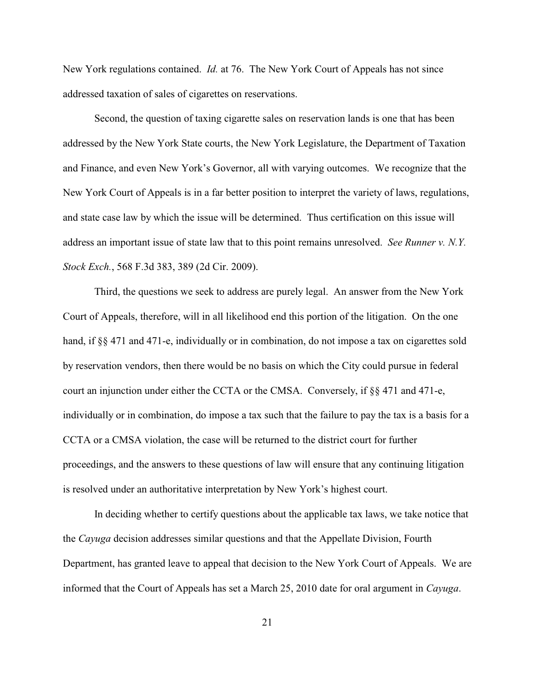New York regulations contained. *Id.* at 76. The New York Court of Appeals has not since addressed taxation of sales of cigarettes on reservations.

Second, the question of taxing cigarette sales on reservation lands is one that has been addressed by the New York State courts, the New York Legislature, the Department of Taxation and Finance, and even New York's Governor, all with varying outcomes. We recognize that the New York Court of Appeals is in a far better position to interpret the variety of laws, regulations, and state case law by which the issue will be determined. Thus certification on this issue will address an important issue of state law that to this point remains unresolved. *See Runner v. N.Y. Stock Exch.*, 568 F.3d 383, 389 (2d Cir. 2009).

Third, the questions we seek to address are purely legal. An answer from the New York Court of Appeals, therefore, will in all likelihood end this portion of the litigation. On the one hand, if §§ 471 and 471-e, individually or in combination, do not impose a tax on cigarettes sold by reservation vendors, then there would be no basis on which the City could pursue in federal court an injunction under either the CCTA or the CMSA. Conversely, if  $\S$  471 and 471-e, individually or in combination, do impose a tax such that the failure to pay the tax is a basis for a CCTA or a CMSA violation, the case will be returned to the district court for further proceedings, and the answers to these questions of law will ensure that any continuing litigation is resolved under an authoritative interpretation by New York's highest court.

In deciding whether to certify questions about the applicable tax laws, we take notice that the *Cayuga* decision addresses similar questions and that the Appellate Division, Fourth Department, has granted leave to appeal that decision to the New York Court of Appeals. We are informed that the Court of Appeals has set a March 25, 2010 date for oral argument in *Cayuga*.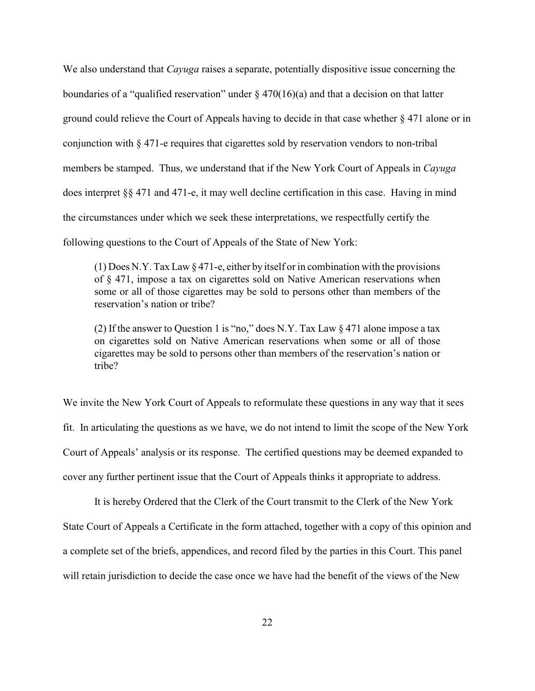We also understand that *Cayuga* raises a separate, potentially dispositive issue concerning the boundaries of a "qualified reservation" under  $\S$  470(16)(a) and that a decision on that latter ground could relieve the Court of Appeals having to decide in that case whether § 471 alone or in conjunction with § 471-e requires that cigarettes sold by reservation vendors to non-tribal members be stamped. Thus, we understand that if the New York Court of Appeals in *Cayuga* does interpret §§ 471 and 471-e, it may well decline certification in this case. Having in mind the circumstances under which we seek these interpretations, we respectfully certify the following questions to the Court of Appeals of the State of New York:

 $(1)$  Does N.Y. Tax Law  $\S 471$ -e, either by itself or in combination with the provisions of § 471, impose a tax on cigarettes sold on Native American reservations when some or all of those cigarettes may be sold to persons other than members of the reservation's nation or tribe?

(2) If the answer to Question 1 is "no," does N.Y. Tax Law  $\S 471$  alone impose a tax on cigarettes sold on Native American reservations when some or all of those cigarettes may be sold to persons other than members of the reservation's nation or tribe?

We invite the New York Court of Appeals to reformulate these questions in any way that it sees fit. In articulating the questions as we have, we do not intend to limit the scope of the New York Court of Appeals' analysis or its response. The certified questions may be deemed expanded to cover any further pertinent issue that the Court of Appeals thinks it appropriate to address.

It is hereby Ordered that the Clerk of the Court transmit to the Clerk of the New York State Court of Appeals a Certificate in the form attached, together with a copy of this opinion and a complete set of the briefs, appendices, and record filed by the parties in this Court. This panel will retain jurisdiction to decide the case once we have had the benefit of the views of the New